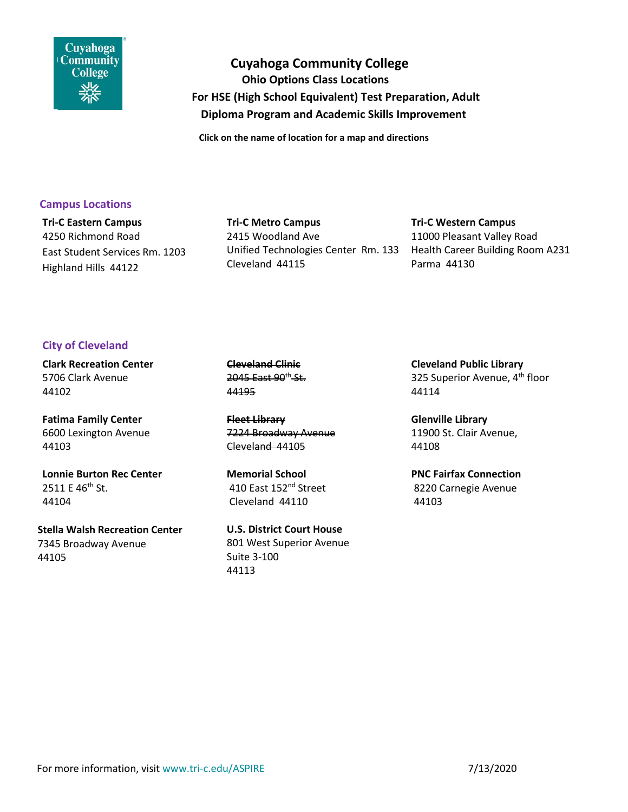

 **Cuyahoga Community College Ohio Options Class Locations For HSE (High School Equivalent) Test Preparation, Adult Diploma Program and Academic Skills Improvement** 

 **Click on the name of location for a map and directions**

### **Campus Locations**

**Tri-C Eastern [Campus](https://maps.google.com/maps?q=Tri-C+Eastern+Campus+4250+Richmond+Road,+Highland+Hills+OH&hl=en&sll=40.365277,-82.669252&sspn=4.620482,9.876709&hq=Tri-C+Eastern+Campus+4250+Richmond+Road,+Highland+Hills+OH&t=m&z=15)** 4250 Richmond Road East Student Services Rm. 1203 Highland Hills 44122

# **Tri-C Metro [Campus](https://maps.google.ca/maps?q=2415+Woodland+Ave+Rm+133,+Cleveland+44115&hl=en&sll=41.505834,-81.614041&sspn=0.00887,0.01929&hnear=2415+Woodland+Ave,+Cleveland,+Ohio+44115,+United+States&t=m&z=16)** 2415 Woodland Ave Unified Technologies Center Rm. 133 Health Career Building Room A231 Cleveland 44115

**Tri-C [Western](https://www.google.com/maps/place/Western+Campus+Library/@41.3689777,-81.7671316,17z/data=!3m1!5s0x8830e94300e8c18d:0xdafb690b76883c40!4m5!1m2!2m1!1s1Tri-C+1000+West+Pleasant+Valley+Road,+Parma,+OH!3m1!1s0x8830e942727fc44f:0x626e27d2c55eb592) Campus** 11000 Pleasant Valley Road Parma 44130

# **City of Cleveland**

**[Clark Recreation Center](https://www.google.com/maps/place/Clark+Recreation+Center/@41.4698988,-81.7277339,17z/data=!3m1!4b1!4m5!3m4!1s0x8830f02f12632dc1:0x22a1b8c794019a91!8m2!3d41.4698948!4d-81.7255452)** 5706 Clark Avenue 44102

**[Fatima Family Center](https://www.google.com/maps/place/Catholic+Charities/@41.510604,-81.643593,17z/data=!3m1!4b1!4m2!3m1!1s0x8830fbb3968339d5:0xd38807b45b6599aa?hl=en)** 6600 Lexington Avenue 44103

**[Lonnie Burton Rec Center](https://www.google.com/maps/place/Cleveland+Lonnie+Burten+Center/@41.4916354,-81.6575683,17z/data=!3m1!4b1!4m5!3m4!1s0x8830fafbcb4f8339:0xa98516db12d27eda!8m2!3d41.4916314!4d-81.6553796)** 2511 E 46th St. 44104

**[Stella Walsh Recreation Center](https://www.google.com/maps/place/Stella+Walsh+Recreation+Center/@41.4566459,-81.6384068,17z/data=!3m1!4b1!4m5!3m4!1s0x8830fb32a96da747:0x80b5636982be2203!8m2!3d41.4566419!4d-81.6362181)** 7345 Broadway Avenue 44105

**[Cleveland Clinic](https://www.google.com/maps/place/Cleveland+Clinic+TT+Building,+2045+E+90th+St,+Cleveland,+OH+44195/@41.5023195,-81.6247353,17z/data=!3m1!4b1!4m5!3m4!1s0x8830fb98fdc21d07:0xa944ca9d11c9b2d1!8m2!3d41.5023403!4d-81.6228168?hl=en)** 2045 East 90<sup>th</sup> St. 44195

**[Fleet Library](https://www.google.com/maps/place/Cleveland+Public+Library+-+Fleet+Branch/@41.4570959,-81.64022,17z/data=!3m1!4b1!4m5!3m4!1s0x8830fb2d36d99ab1:0xb9c555ad1f9a15d1!8m2!3d41.4570919!4d-81.6380313)** 7224 Broadway Avenue Cleveland 44105

**[Memorial](https://www.google.com/maps/place/Memorial+School/@41.5710941,-81.5785437,17z/data=!3m1!4b1!4m5!3m4!1s0x8830fee1febe4a53:0x9b516fda8bad57cd!8m2!3d41.5710901!4d-81.576355) School** 410 East 152nd Street Cleveland 44110

**U.S. [District](https://maps.google.com/maps?q=801+West+Superior+Avenue&hl=en&gbv=2&ie=UTF-8) Court House** 801 West Superior Avenue Suite 3-100 44113

**[Cleveland](https://maps.google.com/maps?q=Cleveland+Public+Library+325+Superior+ave&hl=en&gbv=2&ie=UTF-8) Public Library** 325 Superior Avenue, 4<sup>th</sup> floor 44114

**[Glenville](https://www.google.com/maps/place/11900+St+Clair+Ave,+Cleveland,+OH+44108/@41.5410302,-81.602461,17z/data=!3m1!4b1!4m2!3m1!1s0x8830fead270d2213:0x93d753f68bea261c?hl=en) Library** 11900 St. Clair Avenue, 44108

**PNC Fairfax [Connection](https://maps.google.com/maps?q=8220+Carnegie+Avenue&ie=UTF-8&ei=VhDkUd7pN5K7ywGc24HwDg&ved=0CAgQ_AUoAg)** 8220 Carnegie Avenue 44103